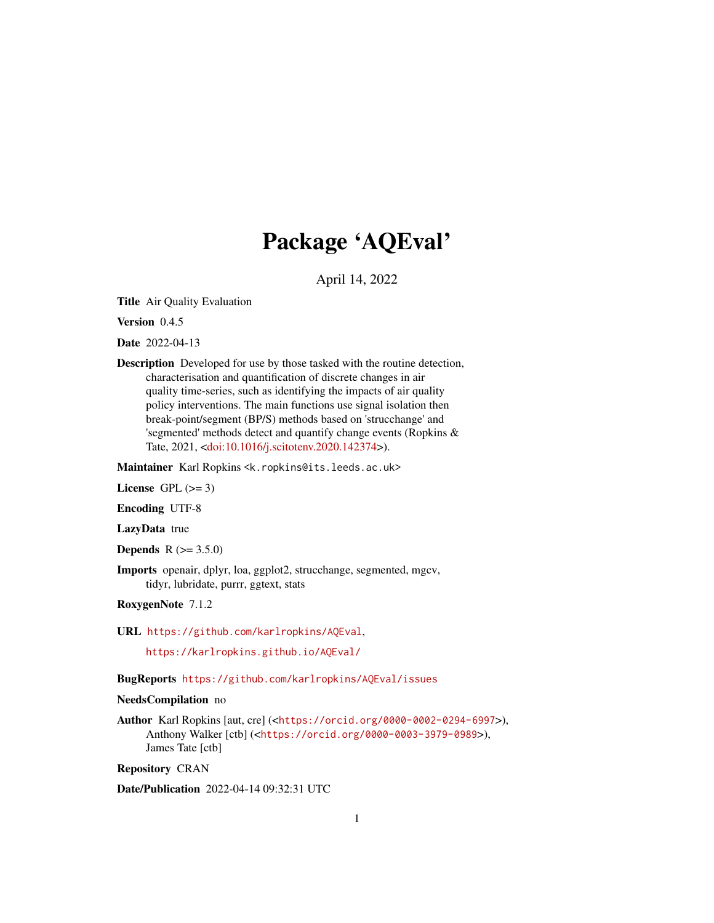# Package 'AQEval'

April 14, 2022

<span id="page-0-0"></span>Title Air Quality Evaluation

Version 0.4.5

Date 2022-04-13

Description Developed for use by those tasked with the routine detection, characterisation and quantification of discrete changes in air quality time-series, such as identifying the impacts of air quality policy interventions. The main functions use signal isolation then break-point/segment (BP/S) methods based on 'strucchange' and 'segmented' methods detect and quantify change events (Ropkins & Tate, 2021, [<doi:10.1016/j.scitotenv.2020.142374>](https://doi.org/10.1016/j.scitotenv.2020.142374)).

Maintainer Karl Ropkins <k.ropkins@its.leeds.ac.uk>

License GPL  $(>= 3)$ 

Encoding UTF-8

LazyData true

**Depends** R  $(>= 3.5.0)$ 

Imports openair, dplyr, loa, ggplot2, strucchange, segmented, mgcv, tidyr, lubridate, purrr, ggtext, stats

RoxygenNote 7.1.2

URL <https://github.com/karlropkins/AQEval>,

<https://karlropkins.github.io/AQEval/>

BugReports <https://github.com/karlropkins/AQEval/issues>

# NeedsCompilation no

Author Karl Ropkins [aut, cre] (<<https://orcid.org/0000-0002-0294-6997>>), Anthony Walker [ctb] (<<https://orcid.org/0000-0003-3979-0989>>), James Tate [ctb]

Repository CRAN

Date/Publication 2022-04-14 09:32:31 UTC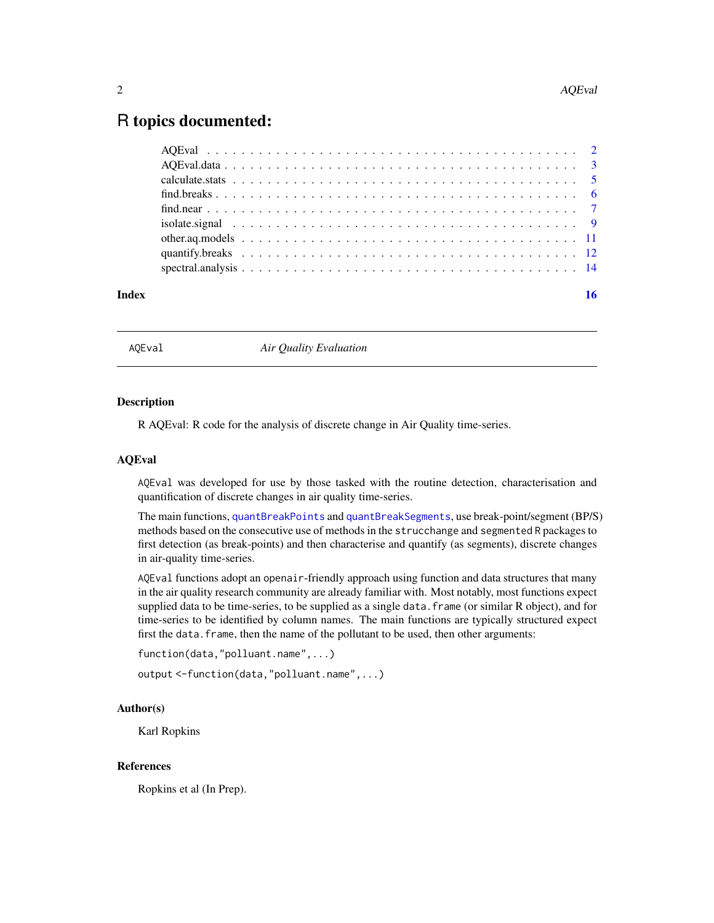# <span id="page-1-0"></span>R topics documented:

#### **Index** and the contract of the contract of the contract of the contract of the contract of the contract of the contract of the contract of the contract of the contract of the contract of the contract of the contract of th

AQEval *Air Quality Evaluation*

#### **Description**

R AQEval: R code for the analysis of discrete change in Air Quality time-series.

#### AQEval

AQEval was developed for use by those tasked with the routine detection, characterisation and quantification of discrete changes in air quality time-series.

The main functions, [quantBreakPoints](#page-11-1) and [quantBreakSegments](#page-11-1), use break-point/segment (BP/S) methods based on the consecutive use of methods in the strucchange and segmented R packages to first detection (as break-points) and then characterise and quantify (as segments), discrete changes in air-quality time-series.

AQEval functions adopt an openair-friendly approach using function and data structures that many in the air quality research community are already familiar with. Most notably, most functions expect supplied data to be time-series, to be supplied as a single data. frame (or similar R object), and for time-series to be identified by column names. The main functions are typically structured expect first the data. frame, then the name of the pollutant to be used, then other arguments:

```
function(data,"polluant.name",...)
```

```
output <-function(data,"polluant.name",...)
```
## Author(s)

Karl Ropkins

#### References

Ropkins et al (In Prep).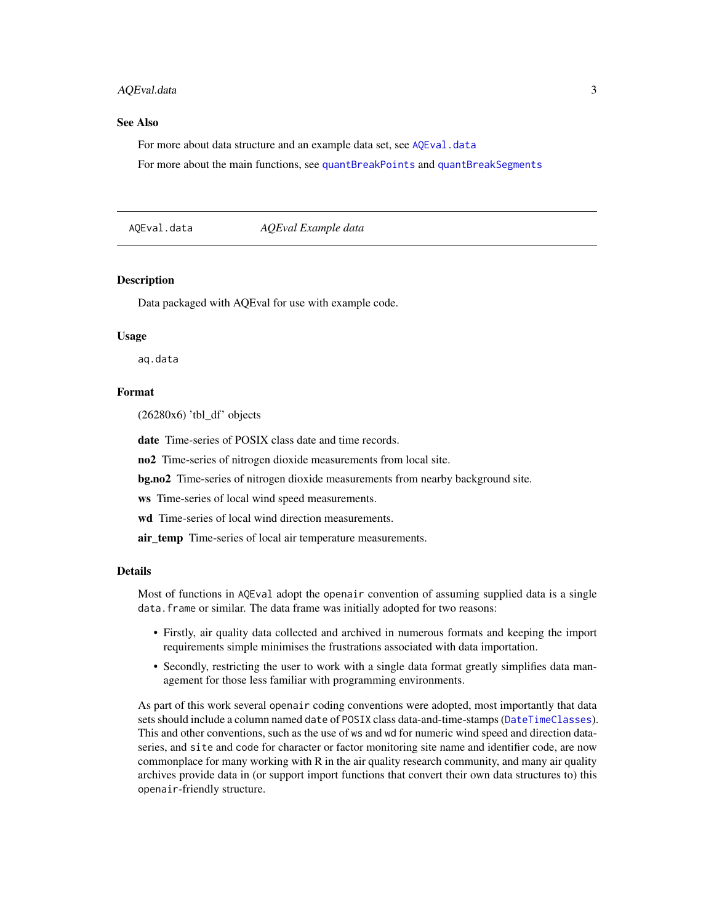#### <span id="page-2-0"></span>AQEval.data 3

#### See Also

For more about data structure and an example data set, see [AQEval.data](#page-2-1)

For more about the main functions, see [quantBreakPoints](#page-11-1) and [quantBreakSegments](#page-11-1)

<span id="page-2-1"></span>AQEval.data *AQEval Example data*

#### **Description**

Data packaged with AQEval for use with example code.

#### Usage

aq.data

# Format

(26280x6) 'tbl\_df' objects

date Time-series of POSIX class date and time records.

no2 Time-series of nitrogen dioxide measurements from local site.

bg.no2 Time-series of nitrogen dioxide measurements from nearby background site.

ws Time-series of local wind speed measurements.

wd Time-series of local wind direction measurements.

air\_temp Time-series of local air temperature measurements.

#### Details

Most of functions in AQEval adopt the openair convention of assuming supplied data is a single data.frame or similar. The data frame was initially adopted for two reasons:

- Firstly, air quality data collected and archived in numerous formats and keeping the import requirements simple minimises the frustrations associated with data importation.
- Secondly, restricting the user to work with a single data format greatly simplifies data management for those less familiar with programming environments.

As part of this work several openair coding conventions were adopted, most importantly that data sets should include a column named date of POSIX class data-and-time-stamps ([DateTimeClasses](#page-0-0)). This and other conventions, such as the use of ws and wd for numeric wind speed and direction dataseries, and site and code for character or factor monitoring site name and identifier code, are now commonplace for many working with R in the air quality research community, and many air quality archives provide data in (or support import functions that convert their own data structures to) this openair-friendly structure.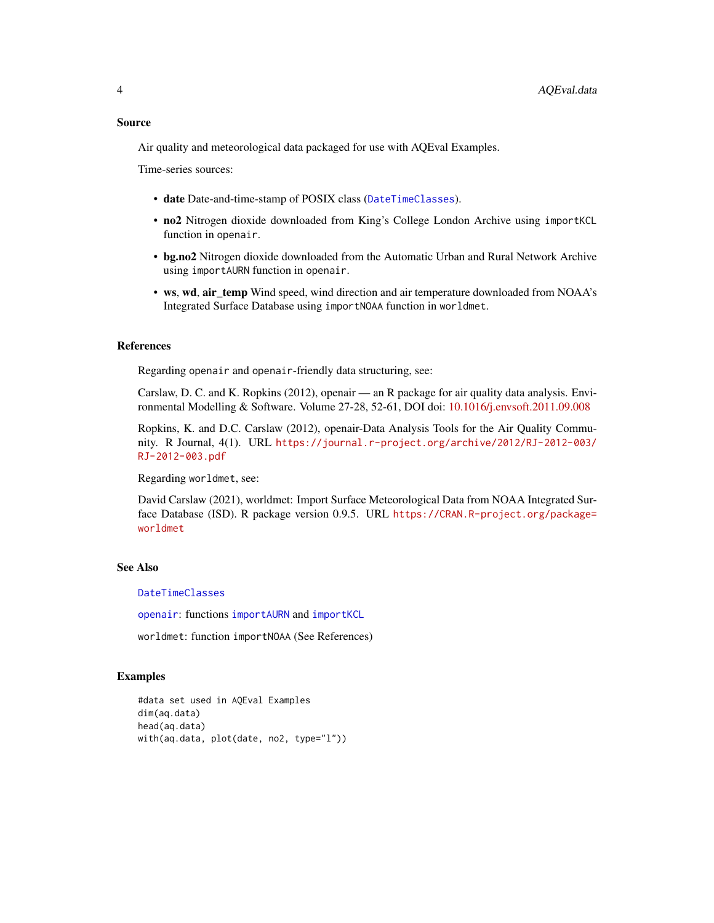<span id="page-3-0"></span>Air quality and meteorological data packaged for use with AQEval Examples.

Time-series sources:

- date Date-and-time-stamp of POSIX class ([DateTimeClasses](#page-0-0)).
- no2 Nitrogen dioxide downloaded from King's College London Archive using importKCL function in openair.
- bg.no2 Nitrogen dioxide downloaded from the Automatic Urban and Rural Network Archive using importAURN function in openair.
- ws, wd, air\_temp Wind speed, wind direction and air temperature downloaded from NOAA's Integrated Surface Database using importNOAA function in worldmet.

# References

Regarding openair and openair-friendly data structuring, see:

Carslaw, D. C. and K. Ropkins (2012), openair — an R package for air quality data analysis. Environmental Modelling & Software. Volume 27-28, 52-61, DOI doi: [10.1016/j.envsoft.2011.09.008](https://doi.org/10.1016/j.envsoft.2011.09.008)

Ropkins, K. and D.C. Carslaw (2012), openair-Data Analysis Tools for the Air Quality Community. R Journal, 4(1). URL [https://journal.r-project.org/archive/2012/RJ-2012-003/](https://journal.r-project.org/archive/2012/RJ-2012-003/RJ-2012-003.pdf) [RJ-2012-003.pdf](https://journal.r-project.org/archive/2012/RJ-2012-003/RJ-2012-003.pdf)

Regarding worldmet, see:

David Carslaw (2021), worldmet: Import Surface Meteorological Data from NOAA Integrated Surface Database (ISD). R package version 0.9.5. URL [https://CRAN.R-project.org/package=](https://CRAN.R-project.org/package=worldmet) [worldmet](https://CRAN.R-project.org/package=worldmet)

#### See Also

[DateTimeClasses](#page-0-0)

[openair](#page-0-0): functions [importAURN](#page-0-0) and [importKCL](#page-0-0)

worldmet: function importNOAA (See References)

#### Examples

```
#data set used in AQEval Examples
dim(aq.data)
head(aq.data)
with(aq.data, plot(date, no2, type="l"))
```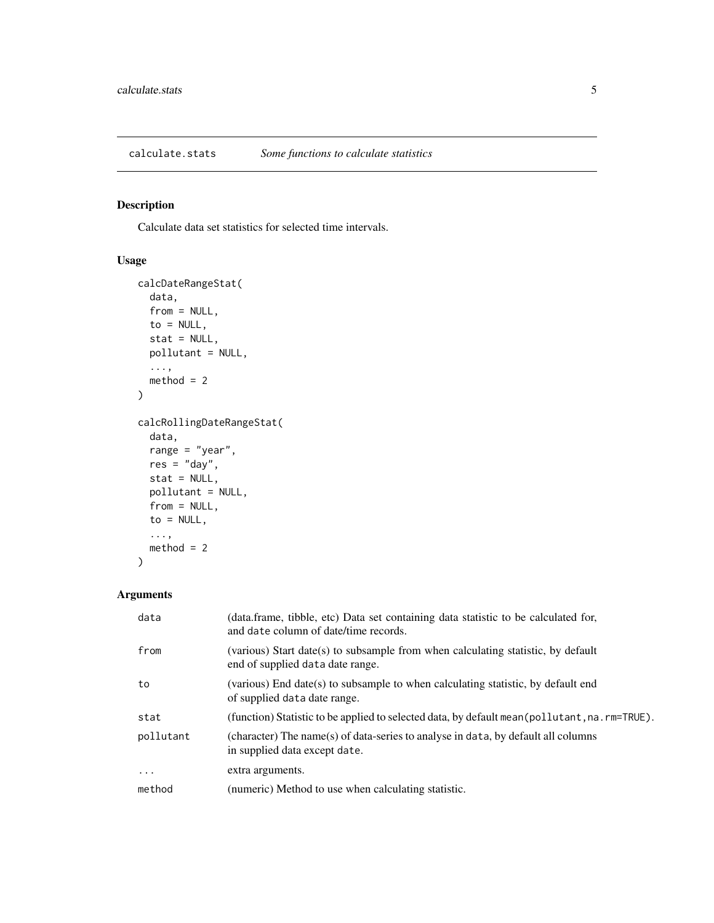<span id="page-4-0"></span>calculate.stats *Some functions to calculate statistics*

# Description

Calculate data set statistics for selected time intervals.

# Usage

```
calcDateRangeStat(
  data,
  from = NULL,
  to = NULL,
  stat = NULL,
  pollutant = NULL,
  ...,
  method = 2)
calcRollingDateRangeStat(
  data,
  range = "year",
  res = "day",stat = NULL,
  pollutant = NULL,
  from = NULL,
  to = NULL,
  ...,
  method = 2\mathcal{L}
```
# Arguments

| data      | (data.frame, tibble, etc) Data set containing data statistic to be calculated for,<br>and date column of date/time records. |
|-----------|-----------------------------------------------------------------------------------------------------------------------------|
| from      | (various) Start date(s) to subsample from when calculating statistic, by default<br>end of supplied data date range.        |
| to        | (various) End date(s) to subsample to when calculating statistic, by default end<br>of supplied data date range.            |
| stat      | (function) Statistic to be applied to selected data, by default mean (pollutant, na. rm=TRUE).                              |
| pollutant | (character) The name(s) of data-series to analyse in data, by default all columns<br>in supplied data except date.          |
| $\ddotsc$ | extra arguments.                                                                                                            |
| method    | (numeric) Method to use when calculating statistic.                                                                         |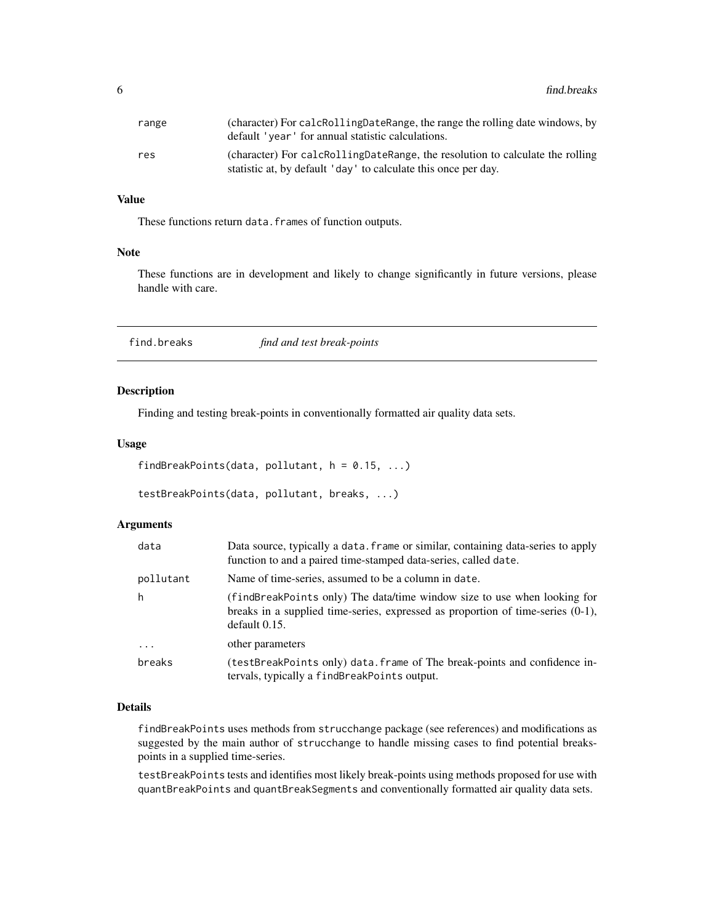<span id="page-5-0"></span>

| range | (character) For calcRollingDateRange, the range the rolling date windows, by<br>default 'year' for annual statistic calculations. |
|-------|-----------------------------------------------------------------------------------------------------------------------------------|
| res   | (character) For calcRollingDateRange, the resolution to calculate the rolling                                                     |
|       | statistic at, by default 'day' to calculate this once per day.                                                                    |

#### Value

These functions return data.frames of function outputs.

#### Note

These functions are in development and likely to change significantly in future versions, please handle with care.

<span id="page-5-1"></span>find.breaks *find and test break-points*

# <span id="page-5-2"></span>Description

Finding and testing break-points in conventionally formatted air quality data sets.

#### Usage

```
findBreakPoints(data, pollutant, h = 0.15, ...)
```

```
testBreakPoints(data, pollutant, breaks, ...)
```
#### Arguments

| data      | Data source, typically a data. frame or similar, containing data-series to apply<br>function to and a paired time-stamped data-series, called date.                             |
|-----------|---------------------------------------------------------------------------------------------------------------------------------------------------------------------------------|
| pollutant | Name of time-series, assumed to be a column in date.                                                                                                                            |
| h         | (findBreakPoints only) The data/time window size to use when looking for<br>breaks in a supplied time-series, expressed as proportion of time-series $(0-1)$ ,<br>default 0.15. |
| $\cdots$  | other parameters                                                                                                                                                                |
| breaks    | (testBreakPoints only) data. frame of The break-points and confidence in-<br>tervals, typically a findBreakPoints output.                                                       |

#### Details

findBreakPoints uses methods from strucchange package (see references) and modifications as suggested by the main author of strucchange to handle missing cases to find potential breakspoints in a supplied time-series.

testBreakPoints tests and identifies most likely break-points using methods proposed for use with quantBreakPoints and quantBreakSegments and conventionally formatted air quality data sets.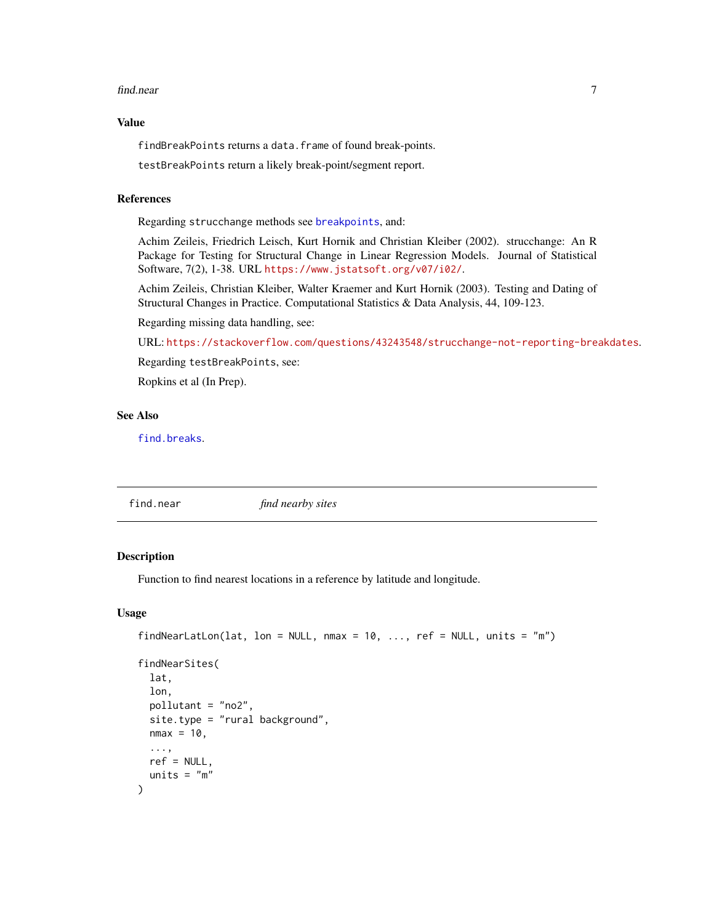#### <span id="page-6-0"></span>find.near 7 **7**

#### Value

findBreakPoints returns a data.frame of found break-points.

testBreakPoints return a likely break-point/segment report.

### References

Regarding strucchange methods see [breakpoints](#page-0-0), and:

Achim Zeileis, Friedrich Leisch, Kurt Hornik and Christian Kleiber (2002). strucchange: An R Package for Testing for Structural Change in Linear Regression Models. Journal of Statistical Software, 7(2), 1-38. URL <https://www.jstatsoft.org/v07/i02/>.

Achim Zeileis, Christian Kleiber, Walter Kraemer and Kurt Hornik (2003). Testing and Dating of Structural Changes in Practice. Computational Statistics & Data Analysis, 44, 109-123.

Regarding missing data handling, see:

URL: <https://stackoverflow.com/questions/43243548/strucchange-not-reporting-breakdates>.

Regarding testBreakPoints, see:

Ropkins et al (In Prep).

# See Also

[find.breaks](#page-5-1).

find.near *find nearby sites*

#### Description

Function to find nearest locations in a reference by latitude and longitude.

#### Usage

```
findNearLatLon(lat, lon = NULL, nmax = 10, ..., ref = NULL, units = m")
```

```
findNearSites(
  lat,
  lon,
 pollutant = "no2",
  site.type = "rural background",
 nmax = 10,
  ...,
 ref = NULL,units = "m")
```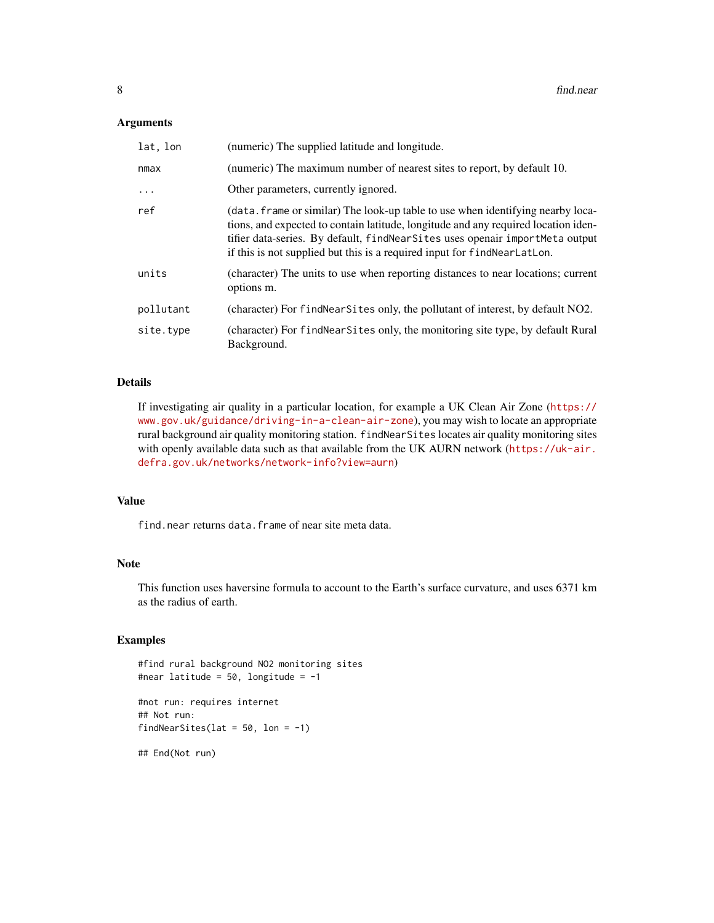#### Arguments

| lat, lon  | (numeric) The supplied latitude and longitude.                                                                                                                                                                                                                                                                                       |
|-----------|--------------------------------------------------------------------------------------------------------------------------------------------------------------------------------------------------------------------------------------------------------------------------------------------------------------------------------------|
| nmax      | (numeric) The maximum number of nearest sites to report, by default 10.                                                                                                                                                                                                                                                              |
| $\ddotsc$ | Other parameters, currently ignored.                                                                                                                                                                                                                                                                                                 |
| ref       | (data, frame or similar) The look-up table to use when identifying nearby loca-<br>tions, and expected to contain latitude, longitude and any required location iden-<br>tifier data-series. By default, find Near Sites uses openair import Meta output<br>if this is not supplied but this is a required input for findNearLatLon. |
| units     | (character) The units to use when reporting distances to near locations; current<br>options m.                                                                                                                                                                                                                                       |
| pollutant | (character) For find Near Sites only, the pollutant of interest, by default NO2.                                                                                                                                                                                                                                                     |
| site.type | (character) For findNearSites only, the monitoring site type, by default Rural<br>Background.                                                                                                                                                                                                                                        |

# Details

If investigating air quality in a particular location, for example a UK Clean Air Zone ([https://](https://www.gov.uk/guidance/driving-in-a-clean-air-zone) [www.gov.uk/guidance/driving-in-a-clean-air-zone](https://www.gov.uk/guidance/driving-in-a-clean-air-zone)), you may wish to locate an appropriate rural background air quality monitoring station. findNearSites locates air quality monitoring sites with openly available data such as that available from the UK AURN network ([https://uk-air.](https://uk-air.defra.gov.uk/networks/network-info?view=aurn) [defra.gov.uk/networks/network-info?view=aurn](https://uk-air.defra.gov.uk/networks/network-info?view=aurn))

# Value

find.near returns data.frame of near site meta data.

### Note

This function uses haversine formula to account to the Earth's surface curvature, and uses 6371 km as the radius of earth.

# Examples

#find rural background NO2 monitoring sites #near latitude =  $50$ , longitude =  $-1$ 

#not run: requires internet ## Not run: findNearSites(lat =  $50$ , lon =  $-1$ )

## End(Not run)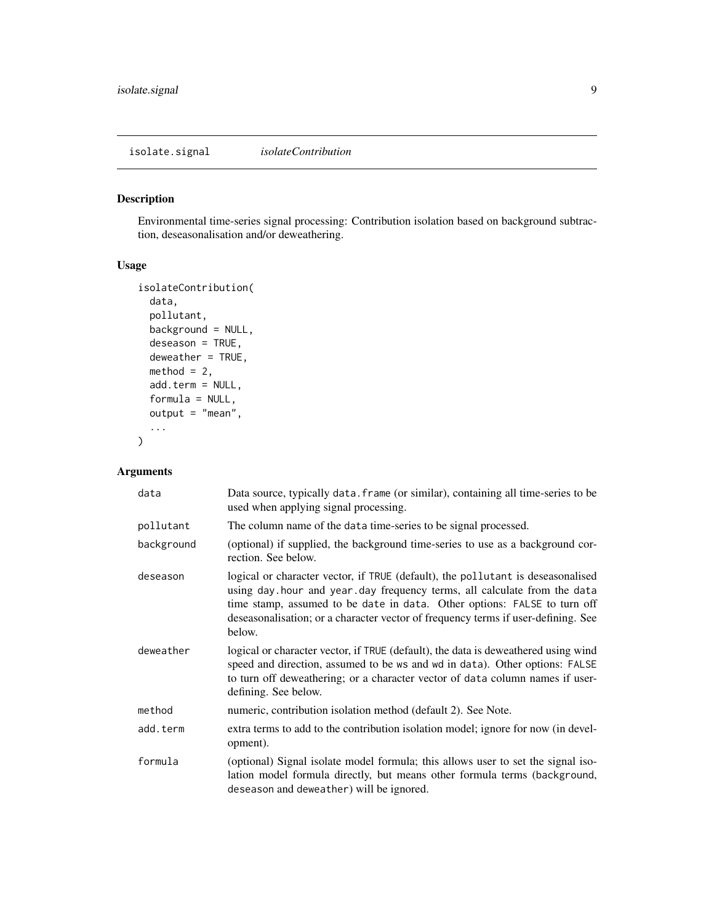<span id="page-8-0"></span>isolate.signal *isolateContribution*

# Description

Environmental time-series signal processing: Contribution isolation based on background subtraction, deseasonalisation and/or deweathering.

# Usage

```
isolateContribution(
  data,
  pollutant,
 background = NULL,
  deseason = TRUE,
  deweather = TRUE,
 method = 2,add.term = NULL,
  formula = NULL,
  output = "mean",
  ...
)
```
# Arguments

| data       | Data source, typically data. frame (or similar), containing all time-series to be<br>used when applying signal processing.                                                                                                                                                                                                             |
|------------|----------------------------------------------------------------------------------------------------------------------------------------------------------------------------------------------------------------------------------------------------------------------------------------------------------------------------------------|
| pollutant  | The column name of the data time-series to be signal processed.                                                                                                                                                                                                                                                                        |
| background | (optional) if supplied, the background time-series to use as a background cor-<br>rection. See below.                                                                                                                                                                                                                                  |
| deseason   | logical or character vector, if TRUE (default), the pollutant is deseasonalised<br>using day hour and year day frequency terms, all calculate from the data<br>time stamp, assumed to be date in data. Other options: FALSE to turn off<br>deseasonalisation; or a character vector of frequency terms if user-defining. See<br>below. |
| deweather  | logical or character vector, if TRUE (default), the data is deweathered using wind<br>speed and direction, assumed to be ws and wd in data). Other options: FALSE<br>to turn off deweathering; or a character vector of data column names if user-<br>defining. See below.                                                             |
| method     | numeric, contribution isolation method (default 2). See Note.                                                                                                                                                                                                                                                                          |
| add.term   | extra terms to add to the contribution isolation model; ignore for now (in devel-<br>opment).                                                                                                                                                                                                                                          |
| formula    | (optional) Signal isolate model formula; this allows user to set the signal iso-<br>lation model formula directly, but means other formula terms (background,<br>deseason and deweather) will be ignored.                                                                                                                              |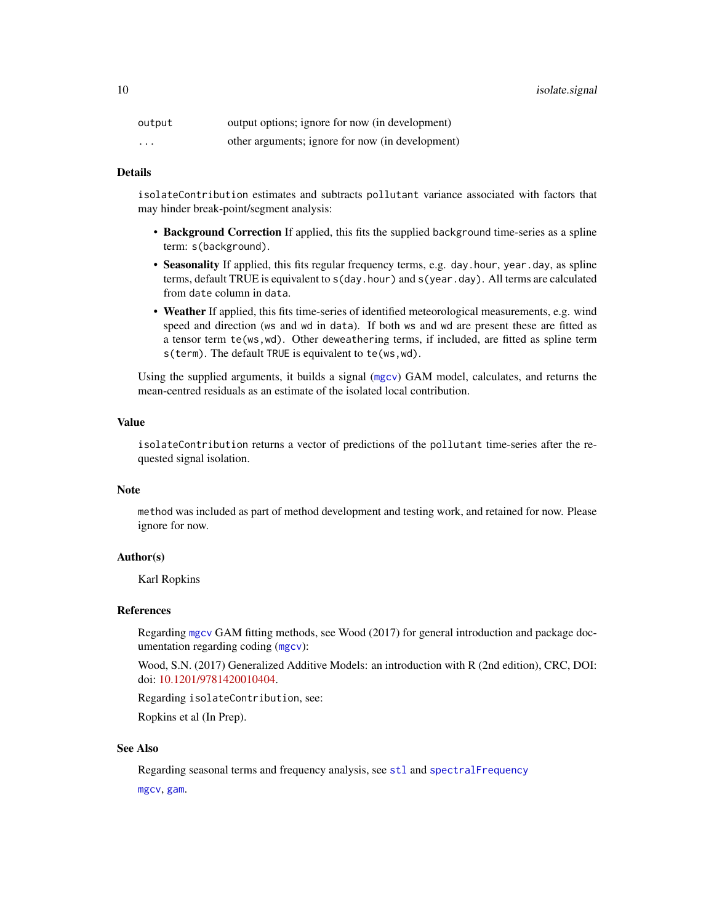<span id="page-9-0"></span>

| output   | output options; ignore for now (in development)  |
|----------|--------------------------------------------------|
| $\cdots$ | other arguments; ignore for now (in development) |

# Details

isolateContribution estimates and subtracts pollutant variance associated with factors that may hinder break-point/segment analysis:

- Background Correction If applied, this fits the supplied background time-series as a spline term: s(background).
- Seasonality If applied, this fits regular frequency terms, e.g. day.hour, year.day, as spline terms, default TRUE is equivalent to s(day.hour) and s(year.day). All terms are calculated from date column in data.
- Weather If applied, this fits time-series of identified meteorological measurements, e.g. wind speed and direction (ws and wd in data). If both ws and wd are present these are fitted as a tensor term te(ws,wd). Other deweathering terms, if included, are fitted as spline term s(term). The default TRUE is equivalent to te(ws,wd).

Using the supplied arguments, it builds a signal ([mgcv](#page-0-0)) GAM model, calculates, and returns the mean-centred residuals as an estimate of the isolated local contribution.

# Value

isolateContribution returns a vector of predictions of the pollutant time-series after the requested signal isolation.

# **Note**

method was included as part of method development and testing work, and retained for now. Please ignore for now.

# Author(s)

Karl Ropkins

#### References

Regarding [mgcv](#page-0-0) GAM fitting methods, see Wood (2017) for general introduction and package documentation regarding coding ([mgcv](#page-0-0)):

Wood, S.N. (2017) Generalized Additive Models: an introduction with R (2nd edition), CRC, DOI: doi: [10.1201/9781420010404.](https://doi.org/10.1201/9781420010404)

Regarding isolateContribution, see:

Ropkins et al (In Prep).

#### See Also

Regarding seasonal terms and frequency analysis, see [stl](#page-0-0) and [spectralFrequency](#page-13-1) [mgcv](#page-0-0), [gam](#page-0-0).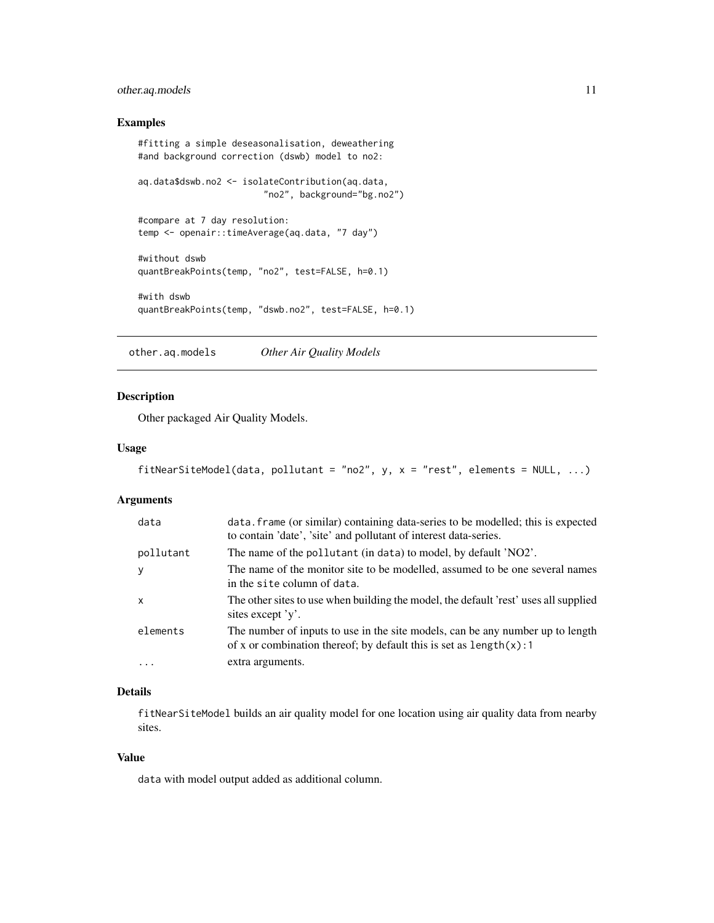# <span id="page-10-0"></span>other.aq.models 11

# Examples

```
#fitting a simple deseasonalisation, deweathering
#and background correction (dswb) model to no2:
aq.data$dswb.no2 <- isolateContribution(aq.data,
                        "no2", background="bg.no2")
#compare at 7 day resolution:
temp <- openair::timeAverage(aq.data, "7 day")
#without dswb
quantBreakPoints(temp, "no2", test=FALSE, h=0.1)
#with dswb
quantBreakPoints(temp, "dswb.no2", test=FALSE, h=0.1)
```
other.aq.models *Other Air Quality Models*

# Description

Other packaged Air Quality Models.

# Usage

```
fitNearSiteModel(data, pollutant = "no2", y, x = "rest", elements = NULL, ...)
```
# Arguments

| data         | data. frame (or similar) containing data-series to be modelled; this is expected<br>to contain 'date', 'site' and pollutant of interest data-series.     |
|--------------|----------------------------------------------------------------------------------------------------------------------------------------------------------|
| pollutant    | The name of the pollutant (in data) to model, by default 'NO2'.                                                                                          |
| y            | The name of the monitor site to be modelled, assumed to be one several names<br>in the site column of data.                                              |
| $\mathsf{x}$ | The other sites to use when building the model, the default 'rest' uses all supplied<br>sites except 'y'.                                                |
| elements     | The number of inputs to use in the site models, can be any number up to length<br>of x or combination thereof; by default this is set as $length(x)$ : 1 |
| $\cdots$     | extra arguments.                                                                                                                                         |

# Details

fitNearSiteModel builds an air quality model for one location using air quality data from nearby sites.

# Value

data with model output added as additional column.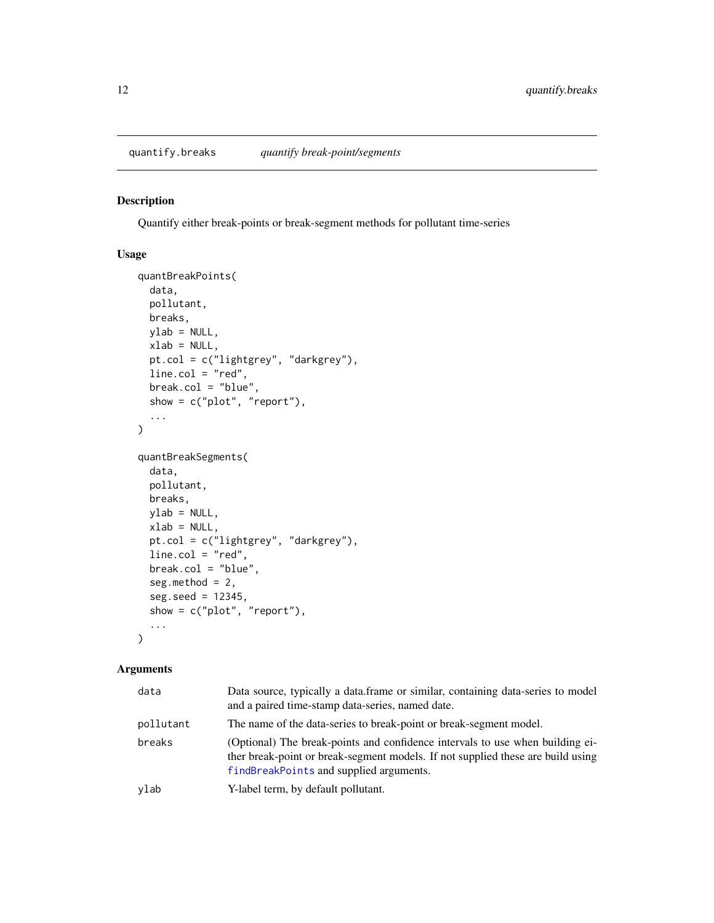# <span id="page-11-1"></span><span id="page-11-0"></span>Description

Quantify either break-points or break-segment methods for pollutant time-series

#### Usage

```
quantBreakPoints(
 data,
 pollutant,
 breaks,
 ylab = NULL,
 xlab = NULL,
 pt.col = c("lightgrey", "darkgrey"),
 line.col = "red",
 break.col = "blue",
 show = c("plot", "report"),
  ...
\mathcal{L}quantBreakSegments(
 data,
 pollutant,
 breaks,
 ylab = NULL,
 xlab = NULL,
 pt.col = c("lightgrey", "darkgrey"),
 line.col = "red",
 break.col = "blue",seg.method = 2,
  seg.seed = 12345,show = c("plot", "report"),
  ...
\mathcal{L}
```
# Arguments

| data      | Data source, typically a data.frame or similar, containing data-series to model<br>and a paired time-stamp data-series, named date.                                                                         |
|-----------|-------------------------------------------------------------------------------------------------------------------------------------------------------------------------------------------------------------|
| pollutant | The name of the data-series to break-point or break-segment model.                                                                                                                                          |
| breaks    | (Optional) The break-points and confidence intervals to use when building ei-<br>ther break-point or break-segment models. If not supplied these are build using<br>findBreakPoints and supplied arguments. |
| ylab      | Y-label term, by default pollutant.                                                                                                                                                                         |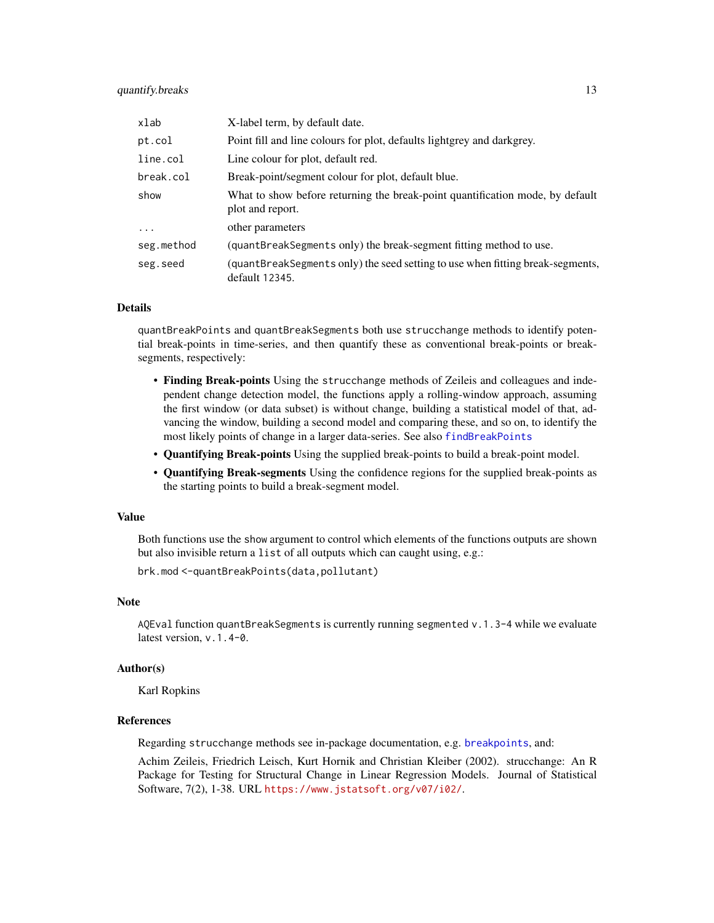# <span id="page-12-0"></span>quantify.breaks 13

| xlab       | X-label term, by default date.                                                                    |
|------------|---------------------------------------------------------------------------------------------------|
| pt.col     | Point fill and line colours for plot, defaults lightgrey and darkgrey.                            |
| line.col   | Line colour for plot, default red.                                                                |
| break.col  | Break-point/segment colour for plot, default blue.                                                |
| show       | What to show before returning the break-point quantification mode, by default<br>plot and report. |
| $\cdot$    | other parameters                                                                                  |
| seg.method | (quantBreakSegments only) the break-segment fitting method to use.                                |
| seg.seed   | (quantBreakSegments only) the seed setting to use when fitting break-segments,<br>default 12345.  |

# Details

quantBreakPoints and quantBreakSegments both use strucchange methods to identify potential break-points in time-series, and then quantify these as conventional break-points or breaksegments, respectively:

- Finding Break-points Using the strucchange methods of Zeileis and colleagues and independent change detection model, the functions apply a rolling-window approach, assuming the first window (or data subset) is without change, building a statistical model of that, advancing the window, building a second model and comparing these, and so on, to identify the most likely points of change in a larger data-series. See also [findBreakPoints](#page-5-2)
- Quantifying Break-points Using the supplied break-points to build a break-point model.
- Quantifying Break-segments Using the confidence regions for the supplied break-points as the starting points to build a break-segment model.

#### Value

Both functions use the show argument to control which elements of the functions outputs are shown but also invisible return a list of all outputs which can caught using, e.g.:

brk.mod <-quantBreakPoints(data,pollutant)

# Note

AQEval function quantBreakSegments is currently running segmented  $v.1.3-4$  while we evaluate latest version, v.1.4-0.

#### Author(s)

Karl Ropkins

# References

Regarding strucchange methods see in-package documentation, e.g. [breakpoints](#page-0-0), and:

Achim Zeileis, Friedrich Leisch, Kurt Hornik and Christian Kleiber (2002). strucchange: An R Package for Testing for Structural Change in Linear Regression Models. Journal of Statistical Software, 7(2), 1-38. URL <https://www.jstatsoft.org/v07/i02/>.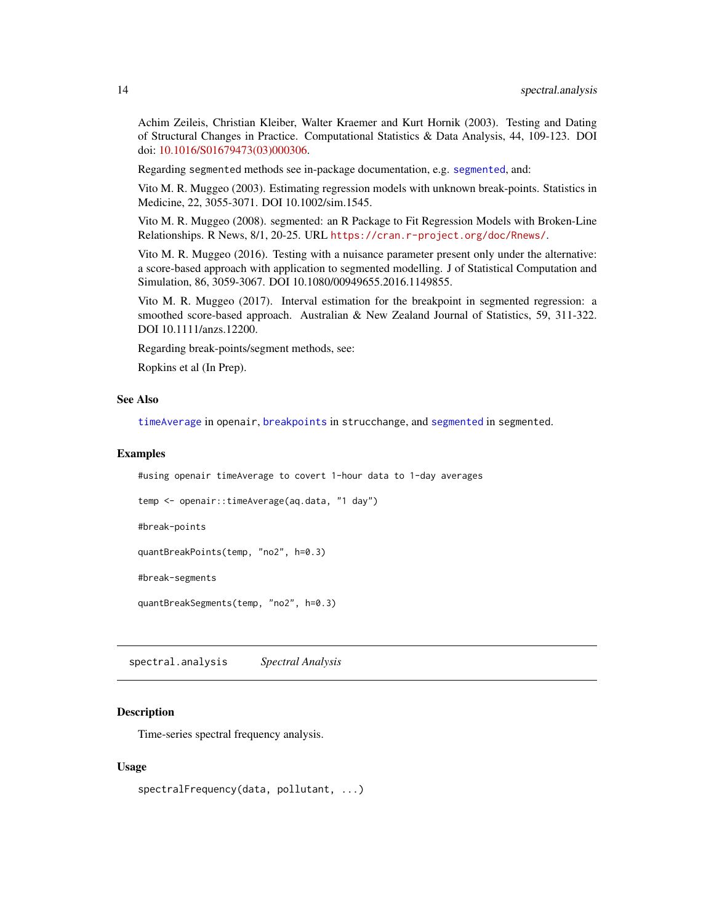<span id="page-13-0"></span>Achim Zeileis, Christian Kleiber, Walter Kraemer and Kurt Hornik (2003). Testing and Dating of Structural Changes in Practice. Computational Statistics & Data Analysis, 44, 109-123. DOI doi: [10.1016/S01679473\(03\)000306.](https://doi.org/10.1016/S0167-9473(03)00030-6)

Regarding segmented methods see in-package documentation, e.g. [segmented](#page-0-0), and:

Vito M. R. Muggeo (2003). Estimating regression models with unknown break-points. Statistics in Medicine, 22, 3055-3071. DOI 10.1002/sim.1545.

Vito M. R. Muggeo (2008). segmented: an R Package to Fit Regression Models with Broken-Line Relationships. R News, 8/1, 20-25. URL <https://cran.r-project.org/doc/Rnews/>.

Vito M. R. Muggeo (2016). Testing with a nuisance parameter present only under the alternative: a score-based approach with application to segmented modelling. J of Statistical Computation and Simulation, 86, 3059-3067. DOI 10.1080/00949655.2016.1149855.

Vito M. R. Muggeo (2017). Interval estimation for the breakpoint in segmented regression: a smoothed score-based approach. Australian & New Zealand Journal of Statistics, 59, 311-322. DOI 10.1111/anzs.12200.

Regarding break-points/segment methods, see:

Ropkins et al (In Prep).

#### See Also

[timeAverage](#page-0-0) in openair, [breakpoints](#page-0-0) in strucchange, and [segmented](#page-0-0) in segmented.

#### Examples

```
#using openair timeAverage to covert 1-hour data to 1-day averages
```

```
temp <- openair::timeAverage(aq.data, "1 day")
```
#break-points

quantBreakPoints(temp, "no2", h=0.3)

#break-segments

quantBreakSegments(temp, "no2", h=0.3)

spectral.analysis *Spectral Analysis*

#### <span id="page-13-1"></span>Description

Time-series spectral frequency analysis.

#### Usage

```
spectralFrequency(data, pollutant, ...)
```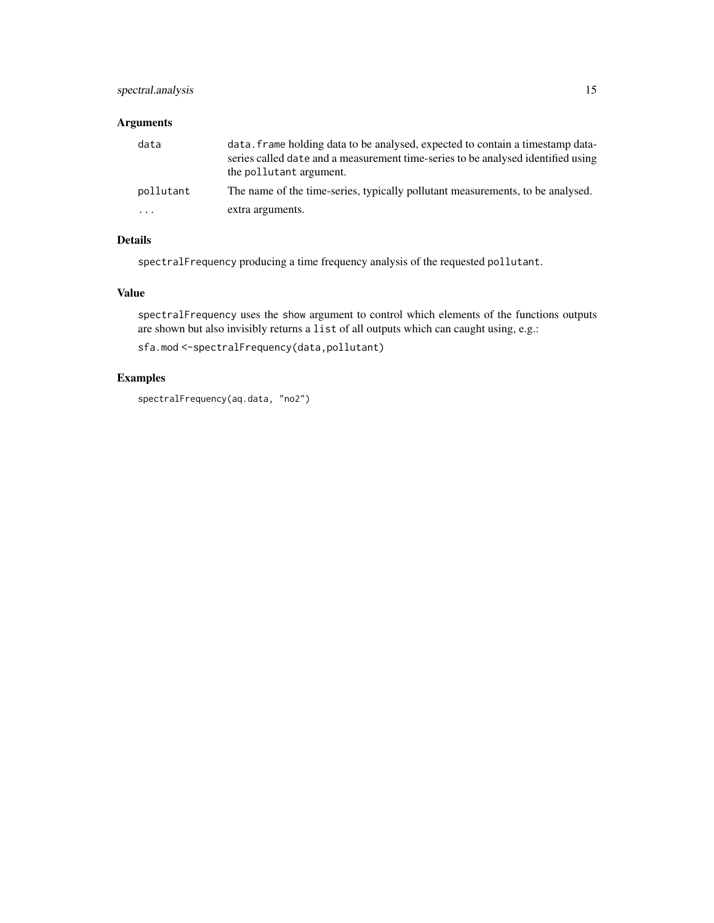# spectral.analysis 15

# Arguments

| data      | data. Frame holding data to be analysed, expected to contain a timestamp data-<br>series called date and a measurement time-series to be analysed identified using<br>the pollutant argument. |
|-----------|-----------------------------------------------------------------------------------------------------------------------------------------------------------------------------------------------|
| pollutant | The name of the time-series, typically pollutant measurements, to be analysed.                                                                                                                |
| $\cdots$  | extra arguments.                                                                                                                                                                              |

# Details

spectralFrequency producing a time frequency analysis of the requested pollutant.

# Value

spectralFrequency uses the show argument to control which elements of the functions outputs are shown but also invisibly returns a list of all outputs which can caught using, e.g.:

sfa.mod <-spectralFrequency(data,pollutant)

# Examples

spectralFrequency(aq.data, "no2")